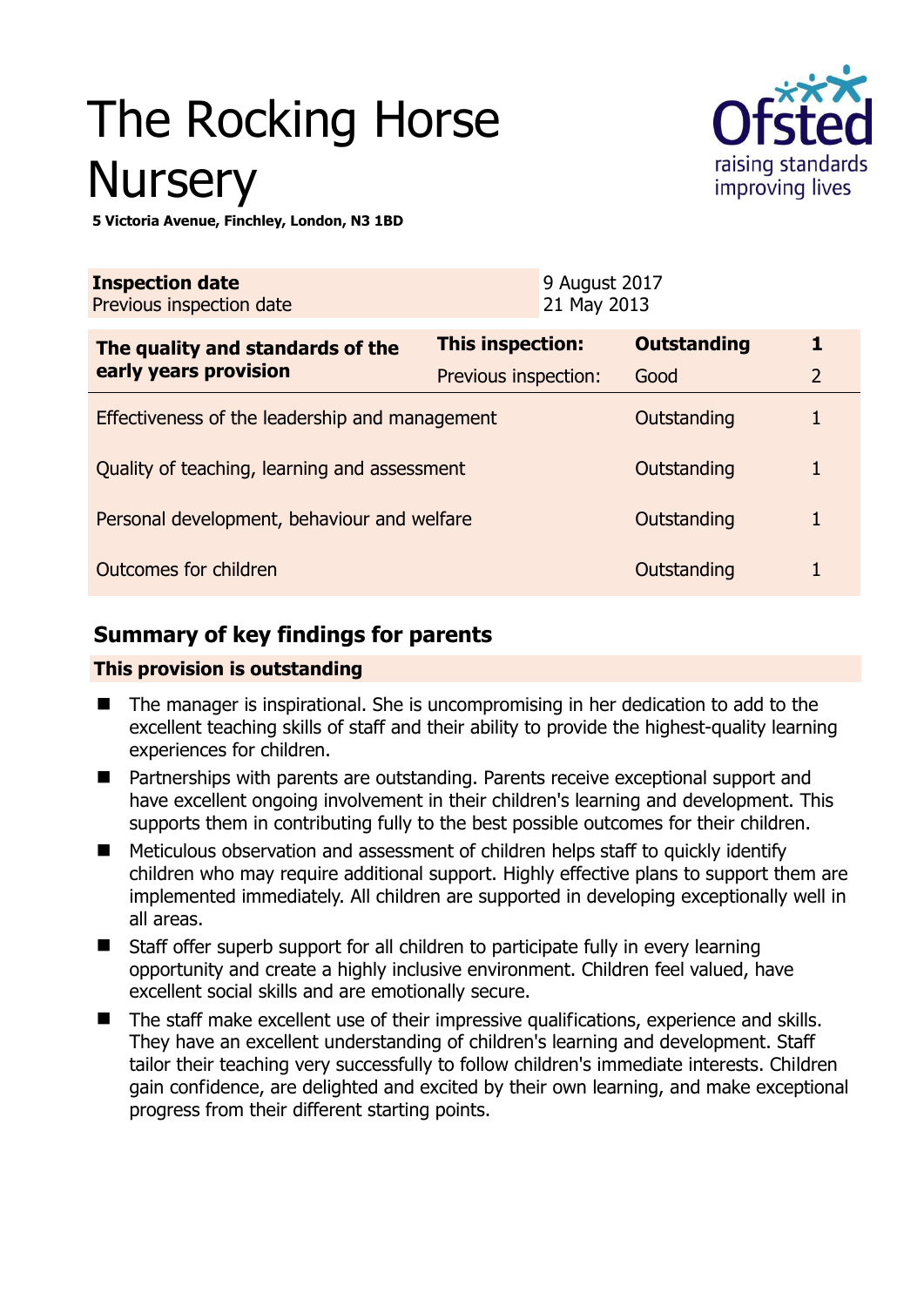# The Rocking Horse **Nursery**



**5 Victoria Avenue, Finchley, London, N3 1BD** 

| <b>Inspection date</b><br>Previous inspection date |                         | 9 August 2017<br>21 May 2013 |                    |                |
|----------------------------------------------------|-------------------------|------------------------------|--------------------|----------------|
| The quality and standards of the                   | <b>This inspection:</b> |                              | <b>Outstanding</b> | 1              |
| early years provision                              | Previous inspection:    |                              | Good               | $\overline{2}$ |
| Effectiveness of the leadership and management     |                         |                              | Outstanding        |                |
| Quality of teaching, learning and assessment       |                         |                              | Outstanding        | 1              |
| Personal development, behaviour and welfare        |                         |                              | Outstanding        | 1              |
| Outcomes for children                              |                         |                              | Outstanding        |                |

# **Summary of key findings for parents**

## **This provision is outstanding**

- The manager is inspirational. She is uncompromising in her dedication to add to the excellent teaching skills of staff and their ability to provide the highest-quality learning experiences for children.
- Partnerships with parents are outstanding. Parents receive exceptional support and have excellent ongoing involvement in their children's learning and development. This supports them in contributing fully to the best possible outcomes for their children.
- Meticulous observation and assessment of children helps staff to quickly identify children who may require additional support. Highly effective plans to support them are implemented immediately. All children are supported in developing exceptionally well in all areas.
- Staff offer superb support for all children to participate fully in every learning opportunity and create a highly inclusive environment. Children feel valued, have excellent social skills and are emotionally secure.
- The staff make excellent use of their impressive qualifications, experience and skills. They have an excellent understanding of children's learning and development. Staff tailor their teaching very successfully to follow children's immediate interests. Children gain confidence, are delighted and excited by their own learning, and make exceptional progress from their different starting points.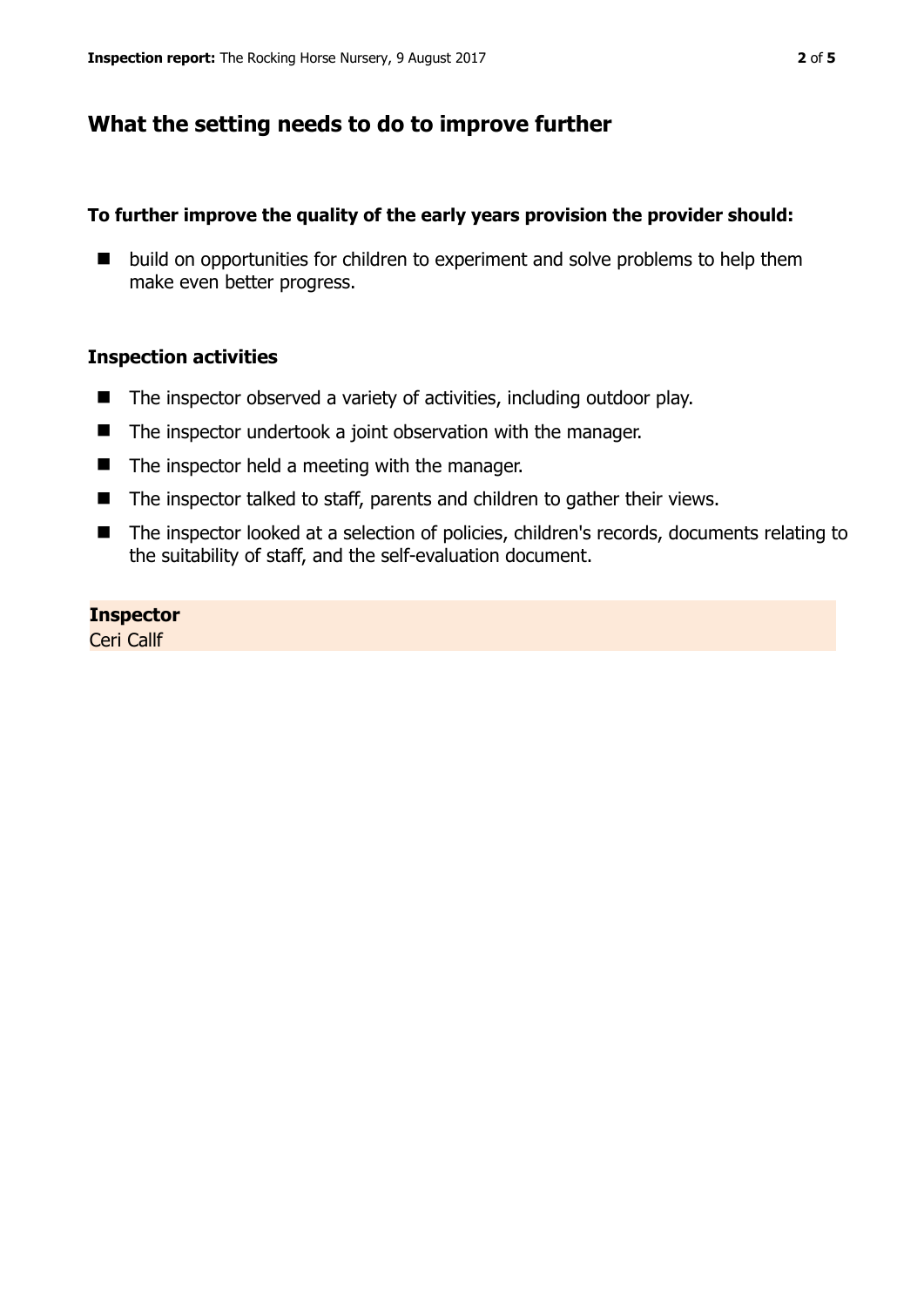## **What the setting needs to do to improve further**

#### **To further improve the quality of the early years provision the provider should:**

■ build on opportunities for children to experiment and solve problems to help them make even better progress.

#### **Inspection activities**

- $\blacksquare$  The inspector observed a variety of activities, including outdoor play.
- The inspector undertook a joint observation with the manager.
- $\blacksquare$  The inspector held a meeting with the manager.
- $\blacksquare$  The inspector talked to staff, parents and children to gather their views.
- The inspector looked at a selection of policies, children's records, documents relating to the suitability of staff, and the self-evaluation document.

#### **Inspector**

Ceri Callf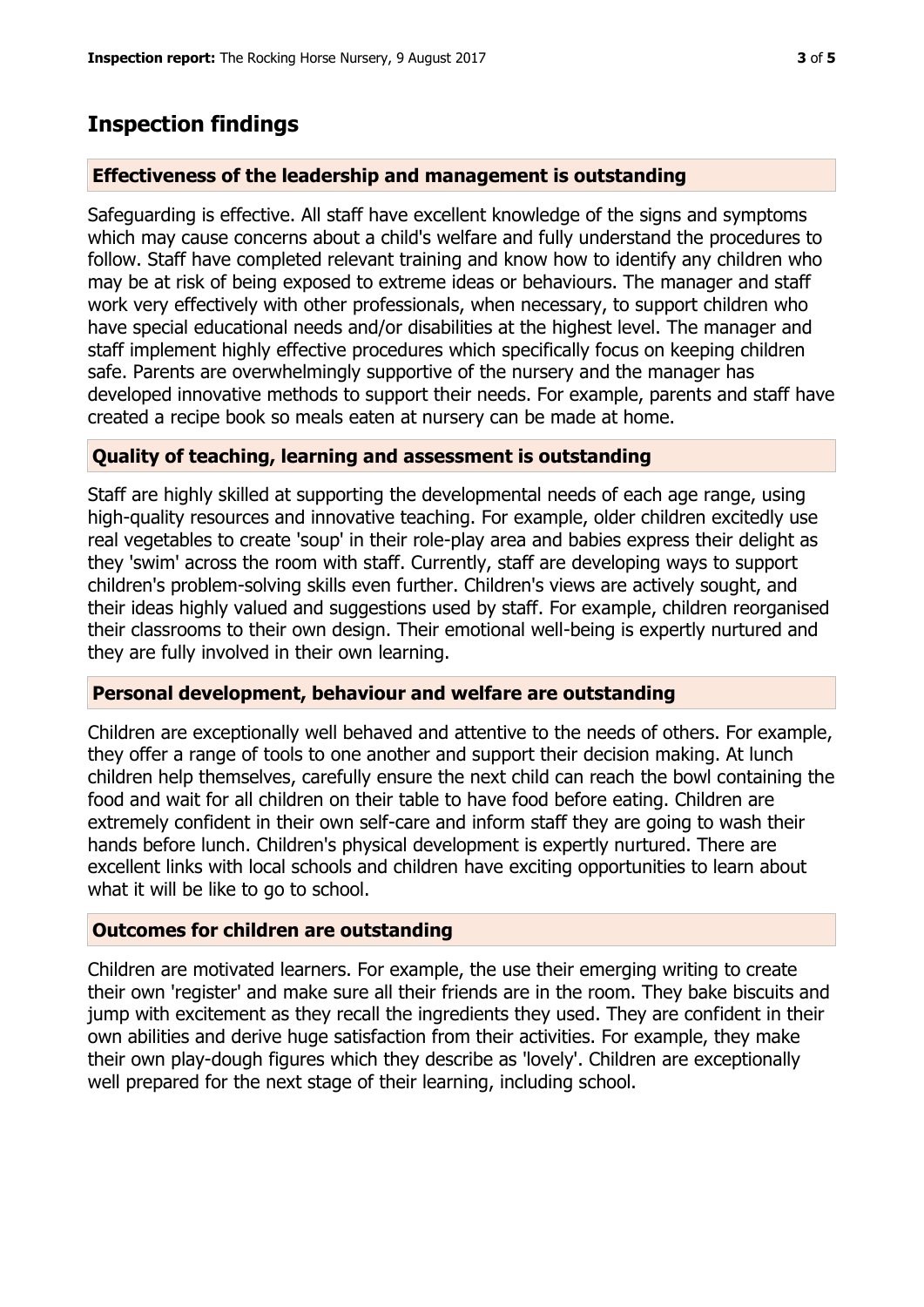# **Inspection findings**

## **Effectiveness of the leadership and management is outstanding**

Safeguarding is effective. All staff have excellent knowledge of the signs and symptoms which may cause concerns about a child's welfare and fully understand the procedures to follow. Staff have completed relevant training and know how to identify any children who may be at risk of being exposed to extreme ideas or behaviours. The manager and staff work very effectively with other professionals, when necessary, to support children who have special educational needs and/or disabilities at the highest level. The manager and staff implement highly effective procedures which specifically focus on keeping children safe. Parents are overwhelmingly supportive of the nursery and the manager has developed innovative methods to support their needs. For example, parents and staff have created a recipe book so meals eaten at nursery can be made at home.

## **Quality of teaching, learning and assessment is outstanding**

Staff are highly skilled at supporting the developmental needs of each age range, using high-quality resources and innovative teaching. For example, older children excitedly use real vegetables to create 'soup' in their role-play area and babies express their delight as they 'swim' across the room with staff. Currently, staff are developing ways to support children's problem-solving skills even further. Children's views are actively sought, and their ideas highly valued and suggestions used by staff. For example, children reorganised their classrooms to their own design. Their emotional well-being is expertly nurtured and they are fully involved in their own learning.

### **Personal development, behaviour and welfare are outstanding**

Children are exceptionally well behaved and attentive to the needs of others. For example, they offer a range of tools to one another and support their decision making. At lunch children help themselves, carefully ensure the next child can reach the bowl containing the food and wait for all children on their table to have food before eating. Children are extremely confident in their own self-care and inform staff they are going to wash their hands before lunch. Children's physical development is expertly nurtured. There are excellent links with local schools and children have exciting opportunities to learn about what it will be like to go to school.

### **Outcomes for children are outstanding**

Children are motivated learners. For example, the use their emerging writing to create their own 'register' and make sure all their friends are in the room. They bake biscuits and jump with excitement as they recall the ingredients they used. They are confident in their own abilities and derive huge satisfaction from their activities. For example, they make their own play-dough figures which they describe as 'lovely'. Children are exceptionally well prepared for the next stage of their learning, including school.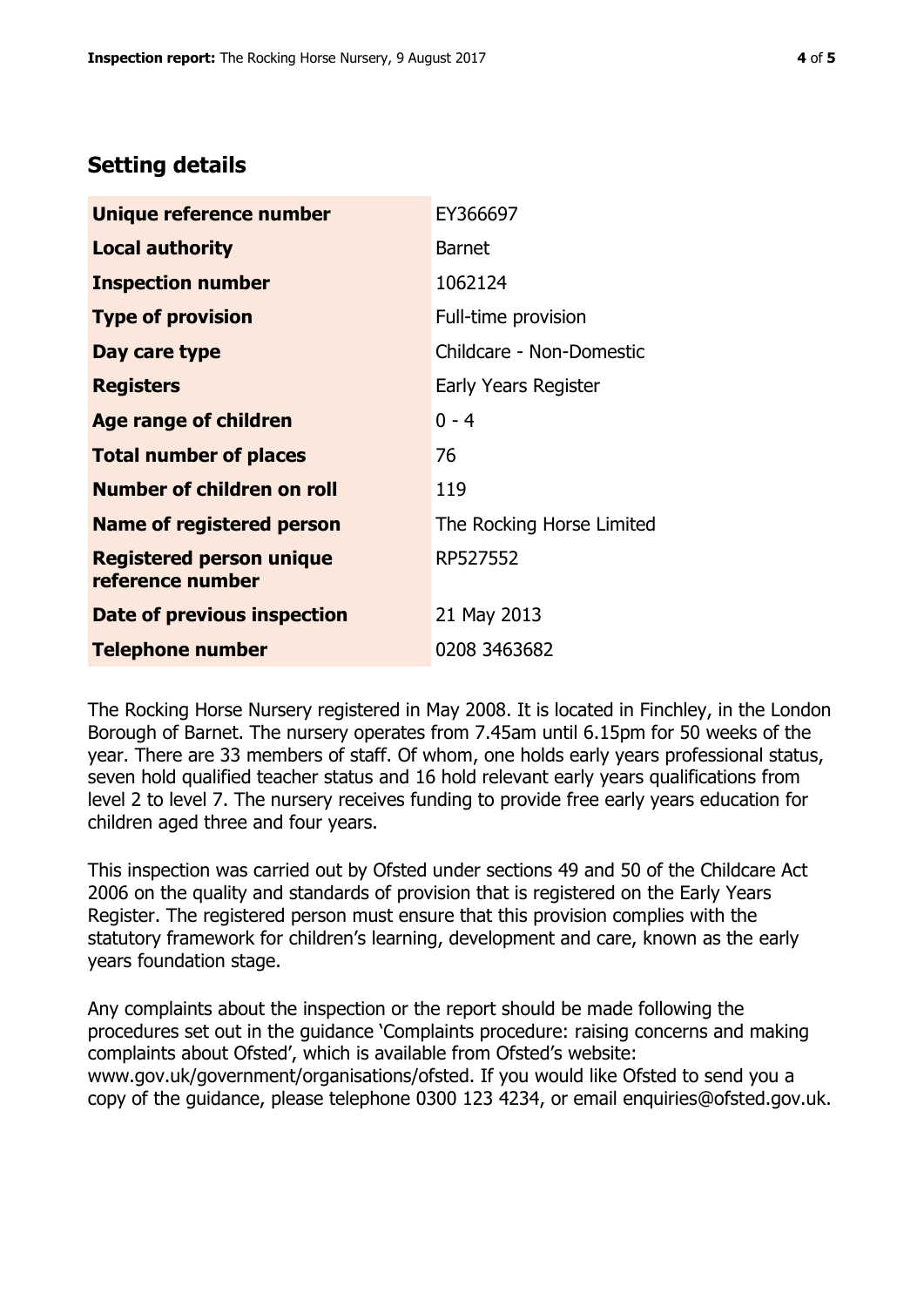## **Setting details**

| Unique reference number                             | EY366697                  |  |  |
|-----------------------------------------------------|---------------------------|--|--|
| Local authority                                     | <b>Barnet</b>             |  |  |
| <b>Inspection number</b>                            | 1062124                   |  |  |
| <b>Type of provision</b>                            | Full-time provision       |  |  |
| Day care type                                       | Childcare - Non-Domestic  |  |  |
| <b>Registers</b>                                    | Early Years Register      |  |  |
| <b>Age range of children</b>                        | $0 - 4$                   |  |  |
| <b>Total number of places</b>                       | 76                        |  |  |
| <b>Number of children on roll</b>                   | 119                       |  |  |
| <b>Name of registered person</b>                    | The Rocking Horse Limited |  |  |
| <b>Registered person unique</b><br>reference number | RP527552                  |  |  |
| Date of previous inspection                         | 21 May 2013               |  |  |
| <b>Telephone number</b>                             | 0208 3463682              |  |  |

The Rocking Horse Nursery registered in May 2008. It is located in Finchley, in the London Borough of Barnet. The nursery operates from 7.45am until 6.15pm for 50 weeks of the year. There are 33 members of staff. Of whom, one holds early years professional status, seven hold qualified teacher status and 16 hold relevant early years qualifications from level 2 to level 7. The nursery receives funding to provide free early years education for children aged three and four years.

This inspection was carried out by Ofsted under sections 49 and 50 of the Childcare Act 2006 on the quality and standards of provision that is registered on the Early Years Register. The registered person must ensure that this provision complies with the statutory framework for children's learning, development and care, known as the early years foundation stage.

Any complaints about the inspection or the report should be made following the procedures set out in the guidance 'Complaints procedure: raising concerns and making complaints about Ofsted', which is available from Ofsted's website: www.gov.uk/government/organisations/ofsted. If you would like Ofsted to send you a copy of the guidance, please telephone 0300 123 4234, or email enquiries@ofsted.gov.uk.